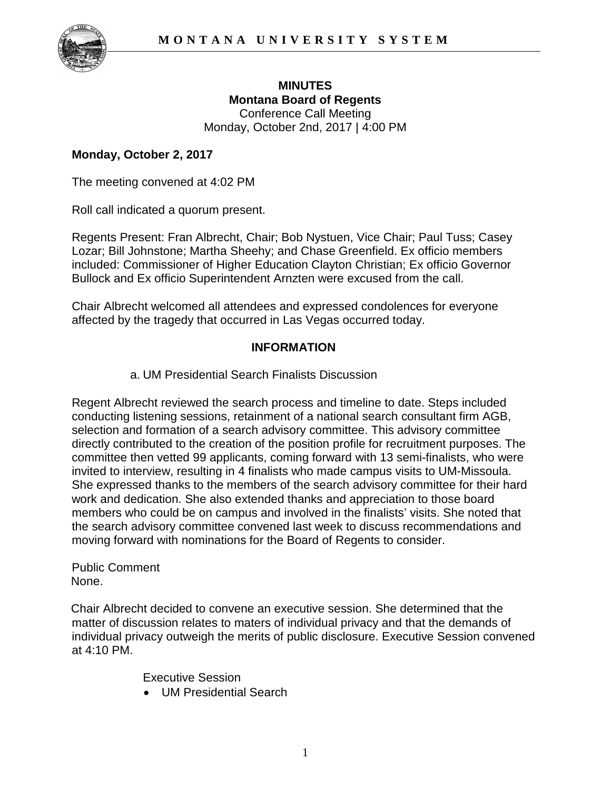

## **MINUTES Montana Board of Regents**  Conference Call Meeting Monday, October 2nd, 2017 | 4:00 PM

## **Monday, October 2, 2017**

The meeting convened at 4:02 PM

Roll call indicated a quorum present.

Regents Present: Fran Albrecht, Chair; Bob Nystuen, Vice Chair; Paul Tuss; Casey Lozar; Bill Johnstone; Martha Sheehy; and Chase Greenfield. Ex officio members included: Commissioner of Higher Education Clayton Christian; Ex officio Governor Bullock and Ex officio Superintendent Arnzten were excused from the call.

Chair Albrecht welcomed all attendees and expressed condolences for everyone affected by the tragedy that occurred in Las Vegas occurred today.

## **INFORMATION**

a. UM Presidential Search Finalists Discussion

Regent Albrecht reviewed the search process and timeline to date. Steps included conducting listening sessions, retainment of a national search consultant firm AGB, selection and formation of a search advisory committee. This advisory committee directly contributed to the creation of the position profile for recruitment purposes. The committee then vetted 99 applicants, coming forward with 13 semi-finalists, who were invited to interview, resulting in 4 finalists who made campus visits to UM-Missoula. She expressed thanks to the members of the search advisory committee for their hard work and dedication. She also extended thanks and appreciation to those board members who could be on campus and involved in the finalists' visits. She noted that the search advisory committee convened last week to discuss recommendations and moving forward with nominations for the Board of Regents to consider.

Public Comment None.

Chair Albrecht decided to convene an executive session. She determined that the matter of discussion relates to maters of individual privacy and that the demands of individual privacy outweigh the merits of public disclosure. Executive Session convened at 4:10 PM.

Executive Session

• UM Presidential Search